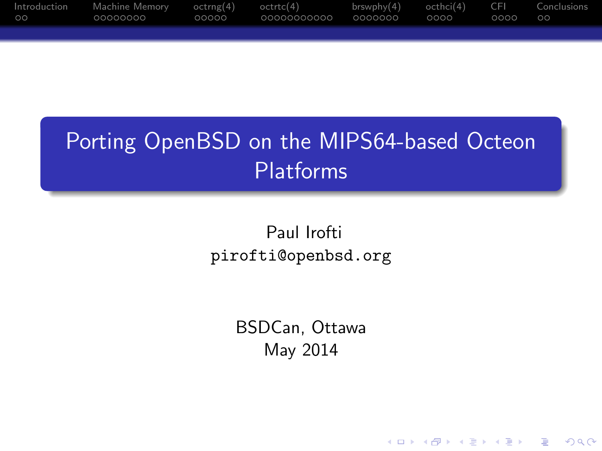| Introduction<br>$\circ$ | Machine Memory octrng(4) octrtc(4)<br>00000000 | OOOOO | $brswphy(4)$ octhci(4) | CFI<br>ററററ | Conclusions<br>- ററ |
|-------------------------|------------------------------------------------|-------|------------------------|-------------|---------------------|
|                         |                                                |       |                        |             |                     |

## Porting OpenBSD on the MIPS64-based Octeon Platforms

Paul Irofti pirofti@openbsd.org

> BSDCan, Ottawa May 2014

> > K ロ ▶ K @ ▶ K 할 > K 할 > 1 할 > 1 이익어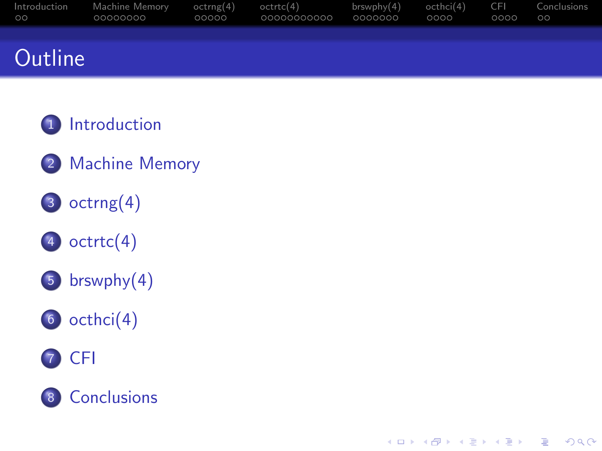| Introduction<br>$\circ$ | Machine Memorv<br>00000000 | octrng(4)<br>00000 | octrtc(4)<br>00000000000 | brswphy(4)<br>0000000 | octhci(4)<br>0000 | CEL<br>0000 | Conclusions<br>$\circ$ |
|-------------------------|----------------------------|--------------------|--------------------------|-----------------------|-------------------|-------------|------------------------|
|                         |                            |                    |                          |                       |                   |             |                        |
| Outline                 |                            |                    |                          |                       |                   |             |                        |

K ロ ▶ K @ ▶ K 할 > K 할 > 1 할 > 1 이익어

- [Introduction](#page-2-0)
- [Machine Memory](#page-4-0)
- [octrng\(4\)](#page-12-0)
- octrtc $(4)$
- [brswphy\(4\)](#page-28-0)





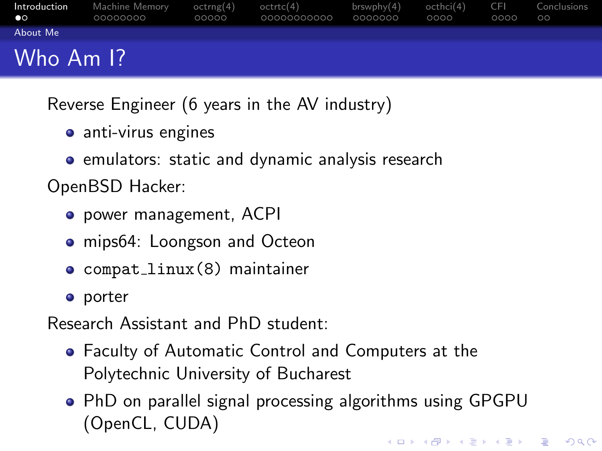| Introduction<br>$\bullet$ | Machine Memory<br>00000000 | octrng(4)<br>00000 | octrtc(4)<br>00000000000 | brswphv(4)<br>0000000 | octhci(4)<br>0000 | CFI<br>0000 | Conclusions<br>$\circ$ |
|---------------------------|----------------------------|--------------------|--------------------------|-----------------------|-------------------|-------------|------------------------|
| About Me                  |                            |                    |                          |                       |                   |             |                        |
| Who Am I?                 |                            |                    |                          |                       |                   |             |                        |

Reverse Engineer (6 years in the AV industry)

- anti-virus engines
- **•** emulators: static and dynamic analysis research

OpenBSD Hacker:

- power management, ACPI
- mips64: Loongson and Octeon
- compat linux(8) maintainer
- **o** porter

Research Assistant and PhD student:

- Faculty of Automatic Control and Computers at the Polytechnic University of Bucharest
- <span id="page-2-0"></span>PhD on parallel signal processing algorithms using GPGPU (OpenCL, CUDA)KID KA KERKER KID KO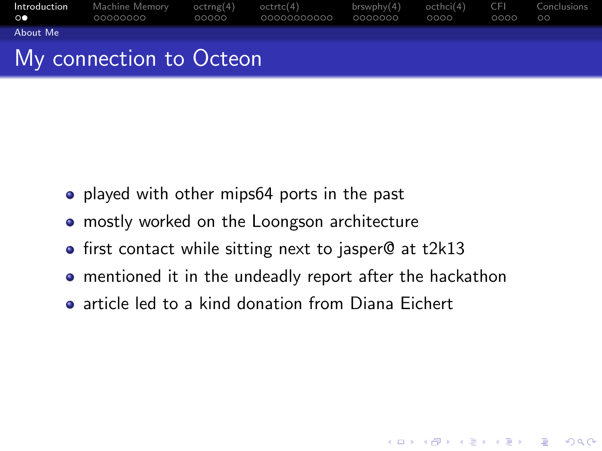| $\circ$ $\circ$ | <b>Introduction</b> Machine Memory $octrrg(4)$ octrtc(4)<br>.00000000 | 00000 | 00000000000 | $brswphy(4)$ octhci $(4)$ CFI Conclusions<br>0000000 | 0000 | 0000 | ററ |
|-----------------|-----------------------------------------------------------------------|-------|-------------|------------------------------------------------------|------|------|----|
| About Me        |                                                                       |       |             |                                                      |      |      |    |
|                 | My connection to Octeon                                               |       |             |                                                      |      |      |    |

## My connection to Octeon

- played with other mips64 ports in the past
- mostly worked on the Loongson architecture
- first contact while sitting next to jasper@ at t2k13
- mentioned it in the undeadly report after the hackathon

**KORK ERKER ADE YOUR** 

<span id="page-3-0"></span>**a** article led to a kind donation from Diana Eichert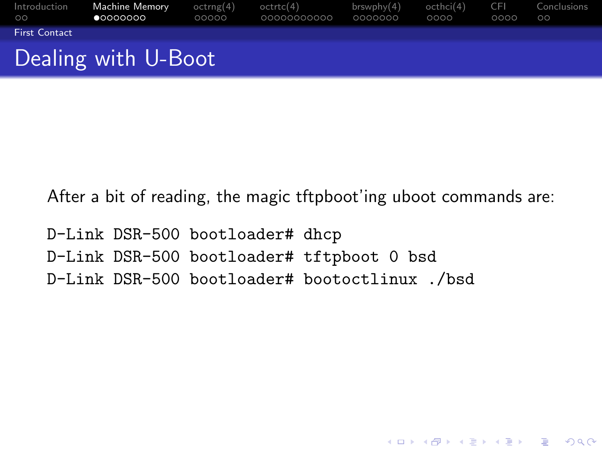| Introduction<br>00 <sub>o</sub> | <b>Machine Memory</b><br>$\bullet$ 0000000 | octrng(4)<br>00000 | octrtc(4)<br>00000000000 | brswphv(4)<br>0000000 | octhci(4) CFI<br>0000 | 0000 | Conclusions<br>$\circ$ |
|---------------------------------|--------------------------------------------|--------------------|--------------------------|-----------------------|-----------------------|------|------------------------|
| <b>First Contact</b>            |                                            |                    |                          |                       |                       |      |                        |
|                                 | Dealing with U-Boot                        |                    |                          |                       |                       |      |                        |

After a bit of reading, the magic tftpboot'ing uboot commands are:

**KORK STRATER STRAKER** 

<span id="page-4-0"></span>D-Link DSR-500 bootloader# dhcp D-Link DSR-500 bootloader# tftpboot 0 bsd D-Link DSR-500 bootloader# bootoctlinux ./bsd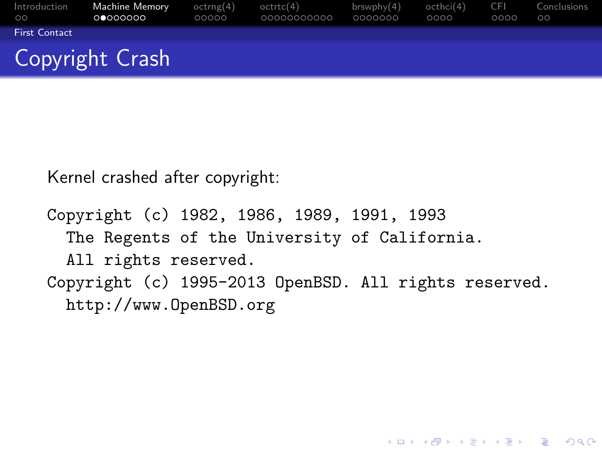| Introduction<br>$\circ$ | <b>Machine Memory</b><br>00000000 | octrng(4)<br>00000 | octrtc(4)<br>00000000000 | brswphv(4)<br>0000000 | octhci(4)<br>0000 | -CEL<br>0000 | Conclusions<br>$\circ$ |
|-------------------------|-----------------------------------|--------------------|--------------------------|-----------------------|-------------------|--------------|------------------------|
| <b>First Contact</b>    |                                   |                    |                          |                       |                   |              |                        |
|                         | Copyright Crash                   |                    |                          |                       |                   |              |                        |

Kernel crashed after copyright:

```
Copyright (c) 1982, 1986, 1989, 1991, 1993
 The Regents of the University of California.
  All rights reserved.
Copyright (c) 1995-2013 OpenBSD. All rights reserved.
 http://www.OpenBSD.org
```
**KORK STRATER STRAKER**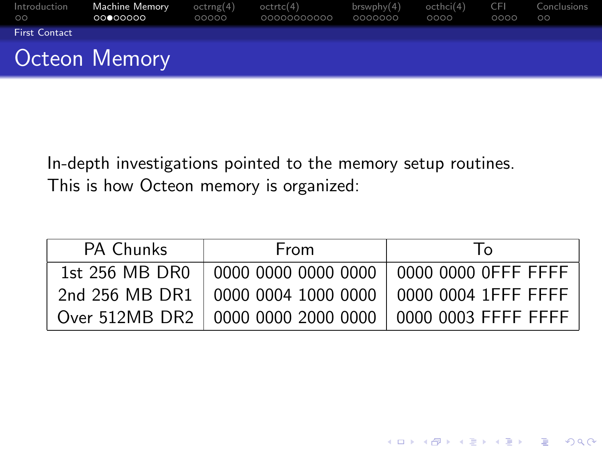| Introduction<br>$00^{\circ}$ | <b>Machine Memory</b><br>00000000 | octrng(4)<br>00000 | octrtc(4)<br>00000000000 | brswphv(4)<br>0000000 | octhci(4)<br>0000 | CEL.<br>0000 | Conclusions<br>$\circ$ |
|------------------------------|-----------------------------------|--------------------|--------------------------|-----------------------|-------------------|--------------|------------------------|
| <b>First Contact</b>         |                                   |                    |                          |                       |                   |              |                        |
|                              | <b>Octeon Memory</b>              |                    |                          |                       |                   |              |                        |

In-depth investigations pointed to the memory setup routines. This is how Octeon memory is organized:

<span id="page-6-0"></span>

| <b>PA Chunks</b> | <b>From</b> | $\overline{1}$                                             |
|------------------|-------------|------------------------------------------------------------|
|                  |             |                                                            |
|                  |             | 2nd 256 MB DR1   0000 0004 1000 0000   0000 0004 1FFF FFFF |
|                  |             | Over 512MB DR2   0000 0000 2000 0000   0000 0003 FFFF FFFF |

K ロ ▶ K @ ▶ K 할 > K 할 > 1 할 > 1 이익어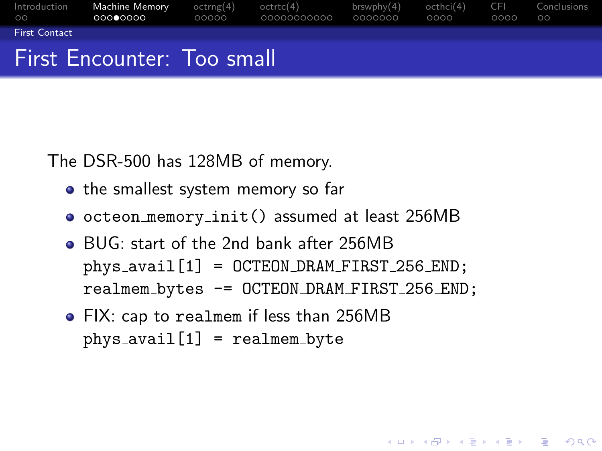

The DSR-500 has 128MB of memory.

- the smallest system memory so far
- octeon memory init() assumed at least 256MB
- BUG: start of the 2nd bank after 256MB phys avail[1] = OCTEON DRAM FIRST 256 END; realmem bytes -= OCTEON DRAM FIRST 256 END;

**KOD KARD KED KED E YORA** 

<span id="page-7-0"></span>FIX: cap to realmem if less than 256MB  $phys_$ avail $[1]$  = realmem byte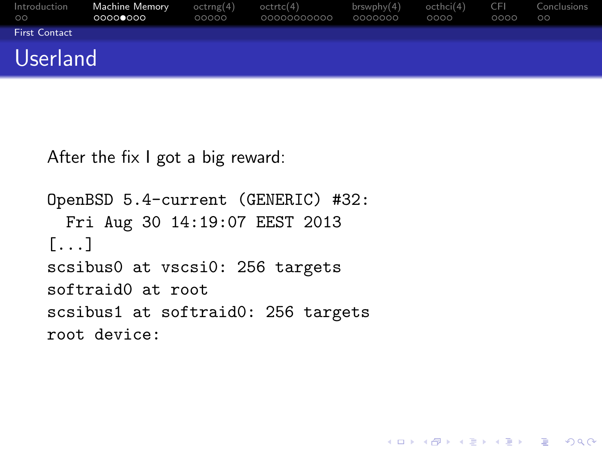| Introduction<br>$\circ$ | Machine Memory<br>00000000 | octrng(4)<br>00000 | octrtc(4)<br>00000000000 | brswphy(4)<br>0000000 | octhci(4)<br>0000 | -CEL<br>0000 | Conclusions<br>$\circ$ |
|-------------------------|----------------------------|--------------------|--------------------------|-----------------------|-------------------|--------------|------------------------|
| <b>First Contact</b>    |                            |                    |                          |                       |                   |              |                        |
| <b>Userland</b>         |                            |                    |                          |                       |                   |              |                        |

K ロ ▶ K @ ▶ K 할 ▶ K 할 ▶ 이 할 → 9 Q @

```
After the fix I got a big reward:
```

```
OpenBSD 5.4-current (GENERIC) #32:
 Fri Aug 30 14:19:07 EEST 2013
[...]
scsibus0 at vscsi0: 256 targets
softraid0 at root
scsibus1 at softraid0: 256 targets
root device:
```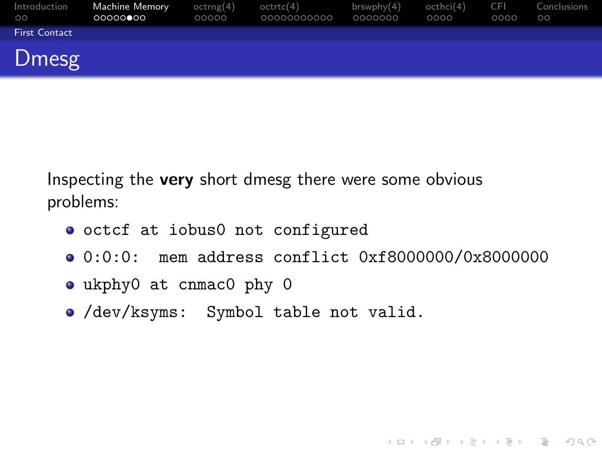| Introduction<br>$\circ$ | Machine Memory<br>000000000 | octrng(4)<br>00000 | octrtc(4)<br>00000000000 | brswphy(4)<br>0000000 | octhci(4)<br>0000 | <b>CFI</b><br>0000 | Conclusions<br>$\circ$ |
|-------------------------|-----------------------------|--------------------|--------------------------|-----------------------|-------------------|--------------------|------------------------|
| <b>First Contact</b>    |                             |                    |                          |                       |                   |                    |                        |
| Dmesg                   |                             |                    |                          |                       |                   |                    |                        |

Inspecting the **very** short dmesg there were some obvious problems:

- octcf at iobus0 not configured
- 0:0:0: mem address conflict 0xf8000000/0x8000000

K ロ ▶ K @ ▶ K 할 ▶ K 할 ▶ 이 할 → 9 Q Q →

- ukphy0 at cnmac0 phy 0
- <span id="page-9-0"></span>/dev/ksyms: Symbol table not valid.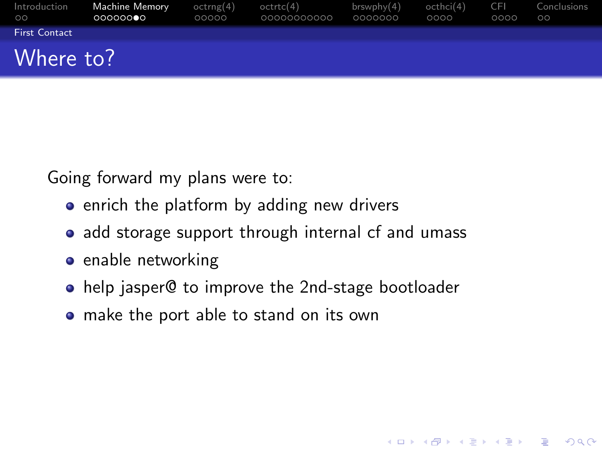| Introduction<br>$\circ$ | Machine Memory<br>000000 | octrng(4)<br>00000 | octrtc(4)<br>00000000000 | brswphy(4)<br>0000000 | octhci(4)<br>0000 | <b>CFI</b><br>0000 | Conclusions<br>$\circ$ |
|-------------------------|--------------------------|--------------------|--------------------------|-----------------------|-------------------|--------------------|------------------------|
| <b>First Contact</b>    |                          |                    |                          |                       |                   |                    |                        |
| Where to?               |                          |                    |                          |                       |                   |                    |                        |

Going forward my plans were to:

- enrich the platform by adding new drivers
- add storage support through internal cf and umass
- enable networking
- help jasper@ to improve the 2nd-stage bootloader

**KORK ERKER ADE YOUR** 

<span id="page-10-0"></span>• make the port able to stand on its own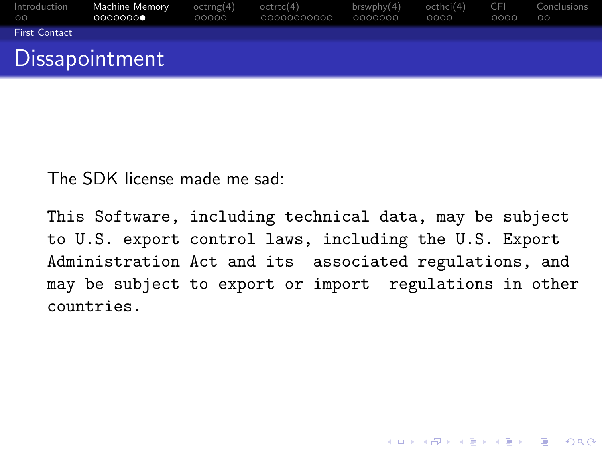| Introduction<br>$\circ$ | <b>Machine Memory</b><br>0000000 | octrng(4)<br>00000 | octrtc(4)<br>00000000000 | brswphv(4)<br>0000000 | octhci(4)<br>0000 | - CEL<br>0000 | Conclusions<br>$\circ$ |
|-------------------------|----------------------------------|--------------------|--------------------------|-----------------------|-------------------|---------------|------------------------|
| <b>First Contact</b>    |                                  |                    |                          |                       |                   |               |                        |
| Dissapointment          |                                  |                    |                          |                       |                   |               |                        |

The SDK license made me sad:

<span id="page-11-0"></span>This Software, including technical data, may be subject to U.S. export control laws, including the U.S. Export Administration Act and its associated regulations, and may be subject to export or import regulations in other countries.

**K ロ ▶ K @ ▶ K 할 X X 할 X 및 할 X X Q Q O \***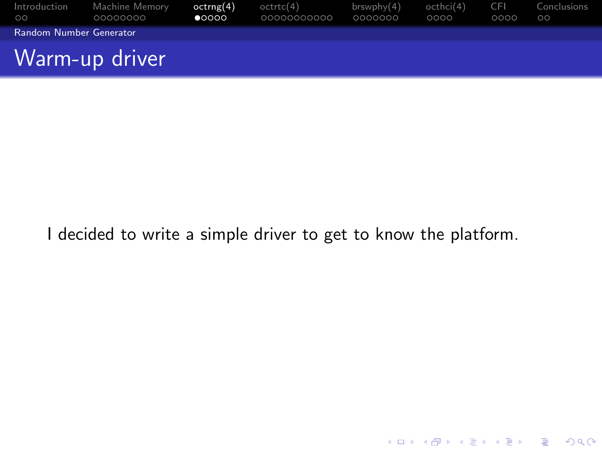| $\circ$                        | Introduction Machine Memory<br>00000000 | octrng(4)<br>$\bullet$ 0000 | octrtc(4)<br>00000000000 | $b$ rswphy $(4)$<br>0000000 | octhci(4)<br>0000 | CEL<br>0000 | Conclusions<br>$\circ$ |
|--------------------------------|-----------------------------------------|-----------------------------|--------------------------|-----------------------------|-------------------|-------------|------------------------|
| <b>Random Number Generator</b> |                                         |                             |                          |                             |                   |             |                        |
|                                | Warm-up driver                          |                             |                          |                             |                   |             |                        |

<span id="page-12-0"></span>I decided to write a simple driver to get to know the platform.

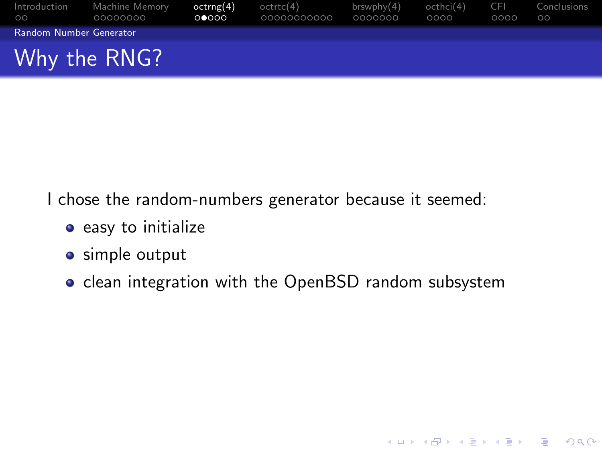| Introduction<br>$\circ$ | Machine Memory<br>00000000 | octrng(4)<br>0 0000 | octrtc(4)<br>00000000000 | brswphv(4)<br>0000000 | octhci(4)<br>0000 | <b>CFI</b><br>0000 | Conclusions<br>$\circ$ |
|-------------------------|----------------------------|---------------------|--------------------------|-----------------------|-------------------|--------------------|------------------------|
| Random Number Generator |                            |                     |                          |                       |                   |                    |                        |
|                         | Why the RNG?               |                     |                          |                       |                   |                    |                        |

I chose the random-numbers generator because it seemed:

- easy to initialize
- **•** simple output
- <span id="page-13-0"></span>• clean integration with the OpenBSD random subsystem

**K ロ ▶ K @ ▶ K 할 X X 할 X 및 할 X X Q Q O**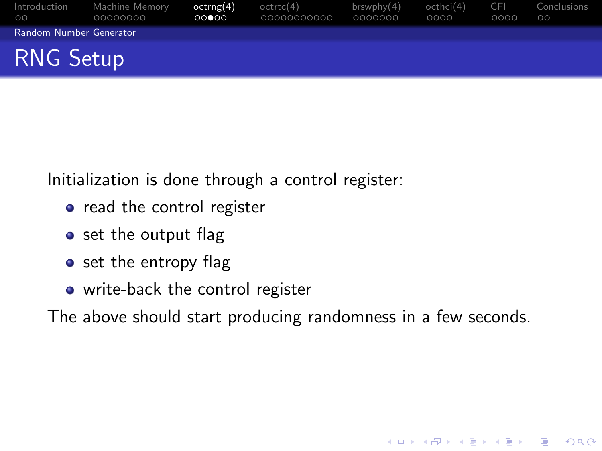| Introduction<br>$\circ$        | Machine Memory<br>00000000 | octrng(4)<br>00000 | octrtc(4)<br>00000000000 | $b$ rswphy $(4)$<br>0000000 | octhci(4)<br>0000 | -CEL<br>0000 | Conclusions<br>$\circ$ |
|--------------------------------|----------------------------|--------------------|--------------------------|-----------------------------|-------------------|--------------|------------------------|
| <b>Random Number Generator</b> |                            |                    |                          |                             |                   |              |                        |
| <b>RNG Setup</b>               |                            |                    |                          |                             |                   |              |                        |

Initialization is done through a control register:

- o read the control register
- set the output flag
- set the entropy flag
- write-back the control register

<span id="page-14-0"></span>The above should start producing randomness in a few seconds.

K ロ ▶ K @ ▶ K 할 ▶ K 할 ▶ 이 할 → 9 Q @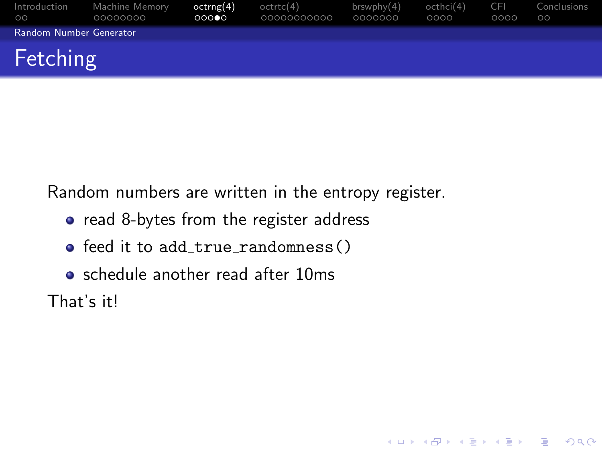| Introduction<br>$\circ$ | Machine Memory<br>00000000 | octrng(4)<br>00000 | octrtc(4)<br>00000000000 | brswphy(4)<br>0000000 | octhci(4)<br>0000 | <b>CFI</b><br>0000 | Conclusions<br>$\circ$ |
|-------------------------|----------------------------|--------------------|--------------------------|-----------------------|-------------------|--------------------|------------------------|
| Random Number Generator |                            |                    |                          |                       |                   |                    |                        |
| Fetching                |                            |                    |                          |                       |                   |                    |                        |

**K ロ ▶ K @ ▶ K 할 X X 할 X → 할 X → 9 Q Q ^** 

Random numbers are written in the entropy register.

- read 8-bytes from the register address
- $\bullet$  feed it to add true randomness()
- schedule another read after 10ms

<span id="page-15-0"></span>That's it!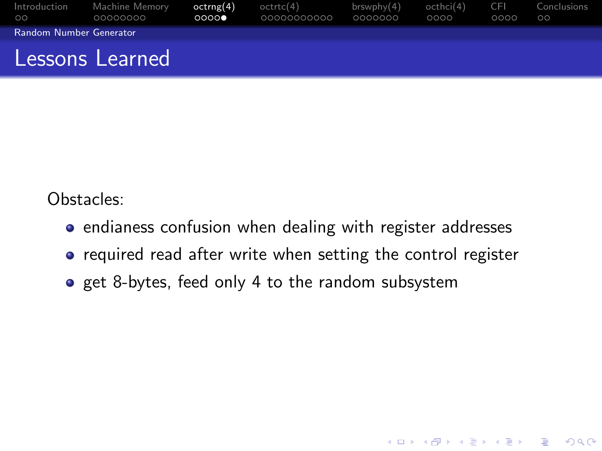| Introduction<br>$\circ$ | Machine Memory<br>00000000 | octrng(4)<br>0000 | octrtc(4)<br>00000000000 | brswphv(4)<br>0000000 | octhci(4)<br>0000 | – CEI<br>0000 | Conclusions<br>$\circ$ |
|-------------------------|----------------------------|-------------------|--------------------------|-----------------------|-------------------|---------------|------------------------|
| Random Number Generator |                            |                   |                          |                       |                   |               |                        |
|                         | Lessons Learned            |                   |                          |                       |                   |               |                        |

Obstacles:

- endianess confusion when dealing with register addresses
- required read after write when setting the control register

K ロ ▶ K @ ▶ K 할 > K 할 > 1 할 > 1 이익어

<span id="page-16-0"></span>o get 8-bytes, feed only 4 to the random subsystem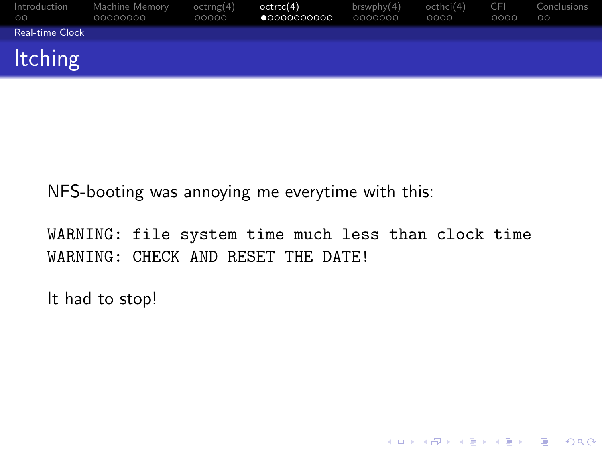| Introduction<br>$\circ$ | Machine Memory<br>00000000 | octrng(4)<br>00000 | octrtc(4)<br>$\bullet$ 0000000000 | brswphy(4)<br>0000000 | octhci(4)<br>0000 | <b>CFI</b><br>0000 | Conclusions<br>$\circ$ |
|-------------------------|----------------------------|--------------------|-----------------------------------|-----------------------|-------------------|--------------------|------------------------|
| Real-time Clock         |                            |                    |                                   |                       |                   |                    |                        |
| <b>Itching</b>          |                            |                    |                                   |                       |                   |                    |                        |

NFS-booting was annoying me everytime with this:

WARNING: file system time much less than clock time WARNING: CHECK AND RESET THE DATE!

**K ロ ▶ K @ ▶ K 할 X X 할 X 및 할 X X Q Q O \*** 

<span id="page-17-0"></span>It had to stop!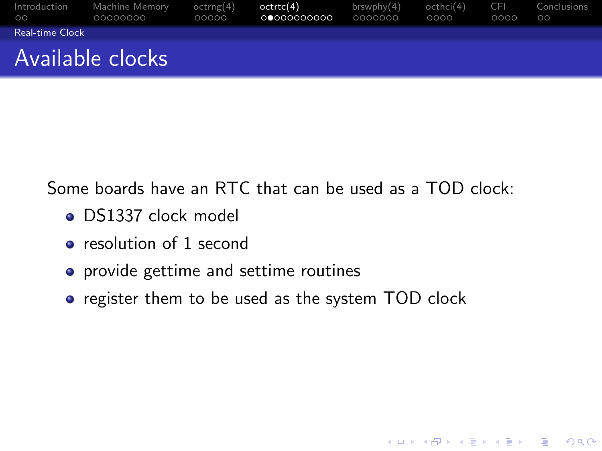| Introduction<br>LOO !  | Machine Memory<br>00000000 | octrng(4)<br>00000 | octrtc(4)<br>00000000000 | $b$ rswphy $(4)$<br>0000000 | octhci(4)<br>0000 | -CEL<br>0000 | Conclusions<br>$\circ$ |
|------------------------|----------------------------|--------------------|--------------------------|-----------------------------|-------------------|--------------|------------------------|
| <b>Real-time Clock</b> |                            |                    |                          |                             |                   |              |                        |
|                        | Available clocks           |                    |                          |                             |                   |              |                        |

Some boards have an RTC that can be used as a TOD clock:

- DS1337 clock model
- **e** resolution of 1 second
- provide gettime and settime routines
- <span id="page-18-0"></span>• register them to be used as the system TOD clock

K ロ ▶ K @ ▶ K 할 ▶ K 할 ▶ 이 할 → 9 Q @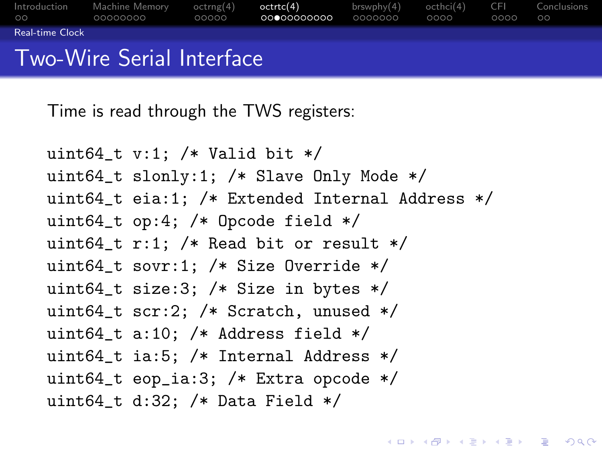[Introduction](#page-2-0) [Machine Memory](#page-4-0) [octrng\(4\)](#page-12-0) [octrtc\(4\)](#page-17-0) [brswphy\(4\)](#page-28-0) [octhci\(4\)](#page-35-0) [CFI](#page-39-0) [Conclusions](#page-43-0)  $\circ$ [Real-time Clock](#page-19-0)

### Two-Wire Serial Interface

Time is read through the TWS registers:

```
uint64_t v:1; /* Valid bit */
uint64_t slonly:1; /* Slave Only Mode */
uint64_t eia:1; /* Extended Internal Address */
uint64_t op:4; /* Opcode field */
uint64_t r:1; /* Read bit or result */uint64_t sovr:1; /* Size Override */
uint64_t size:3; /* Size in bytes */
uint64_t scr:2; /* Scratch, unused */
uint64_t a:10; /* Address field */
uint64_t ia:5; /* Internal Address */
uint64_t eop_ia:3; /* Extra opcode */
uint64_t d:32; /* Data Field */
```
**KORK ERKER ER AGA**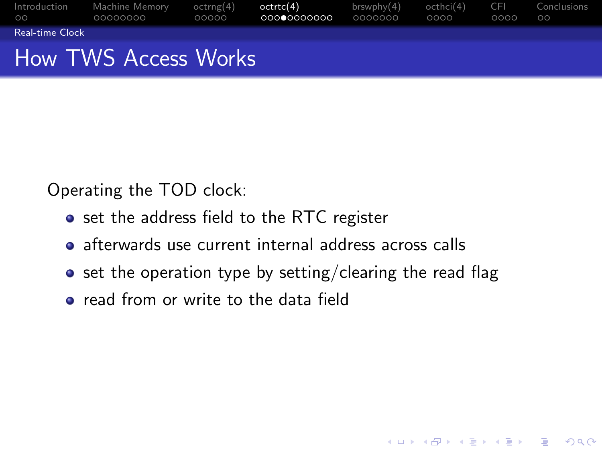| Introduction<br>$\circ$ | Machine Memorv<br>00000000 | octrng(4)<br>00000 | octrtc(4)<br>00000000000 | brswphv(4)<br>0000000 | octhci(4)<br>0000 | - CEL<br>0000 | Conclusions<br>ററ |
|-------------------------|----------------------------|--------------------|--------------------------|-----------------------|-------------------|---------------|-------------------|
| <b>Real-time Clock</b>  |                            |                    |                          |                       |                   |               |                   |
|                         | How TWS Access Works       |                    |                          |                       |                   |               |                   |

Operating the TOD clock:

- set the address field to the RTC register
- afterwards use current internal address across calls
- $\bullet$  set the operation type by setting/clearing the read flag

K ロ ▶ K @ ▶ K 할 ▶ K 할 ▶ 이 할 → 9 Q @

<span id="page-20-0"></span>**•** read from or write to the data field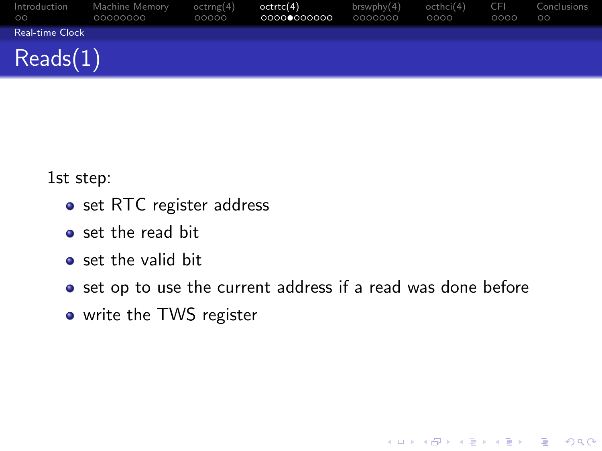| Introduction<br>$\circ$ | Machine Memory<br>00000000 | octrng(4)<br>00000 | octrtc(4)<br>00000000000 | brswphy(4)<br>0000000 | octhci(4)<br>0000 | <b>CFI</b><br>0000 | Conclusions<br>$\circ$ |
|-------------------------|----------------------------|--------------------|--------------------------|-----------------------|-------------------|--------------------|------------------------|
| Real-time Clock         |                            |                    |                          |                       |                   |                    |                        |
| Reads(1)                |                            |                    |                          |                       |                   |                    |                        |

1st step:

- o set RTC register address
- set the read bit
- set the valid bit
- set op to use the current address if a read was done before

K ロ ▶ K @ ▶ K 할 > K 할 > 1 할 > 1 이익어

<span id="page-21-0"></span>o write the TWS register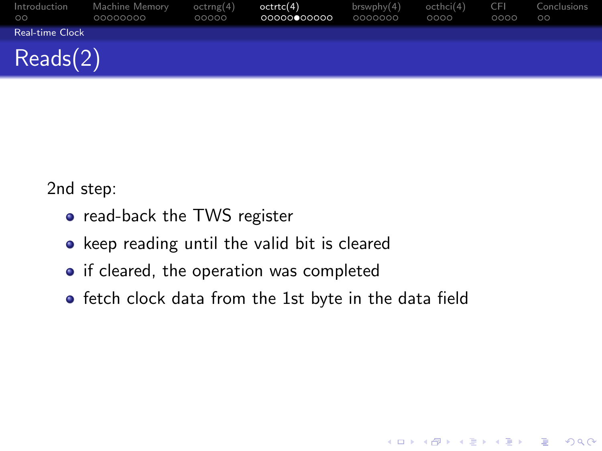| Introduction<br>$\circ$ | Machine Memory<br>00000000 | octrng(4)<br>00000 | octrtc(4)<br>00000000000 | brswphy(4)<br>0000000 | octhci(4)<br>0000 | <b>CFI</b><br>0000 | Conclusions<br>$\circ$ |
|-------------------------|----------------------------|--------------------|--------------------------|-----------------------|-------------------|--------------------|------------------------|
| <b>Real-time Clock</b>  |                            |                    |                          |                       |                   |                    |                        |
| Recals(2)               |                            |                    |                          |                       |                   |                    |                        |

2nd step:

- read-back the TWS register
- keep reading until the valid bit is cleared
- if cleared, the operation was completed
- <span id="page-22-0"></span>**•** fetch clock data from the 1st byte in the data field

K ロ ▶ K @ ▶ K 할 > K 할 > 1 할 > 1 이익어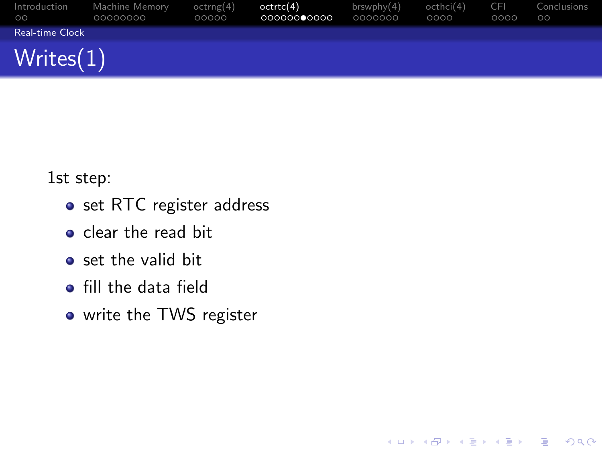| Introduction<br>$\circ$ | Machine Memory<br>00000000 | octrng(4)<br>00000 | octrtc(4)<br>00000000000 | brswphy(4)<br>0000000 | octhci(4)<br>0000 | <b>CFI</b><br>0000 | Conclusions<br>$\circ$ |
|-------------------------|----------------------------|--------------------|--------------------------|-----------------------|-------------------|--------------------|------------------------|
| Real-time Clock         |                            |                    |                          |                       |                   |                    |                        |
| Writes(1)               |                            |                    |                          |                       |                   |                    |                        |

K ロ ▶ K @ ▶ K 할 > K 할 > 1 할 > 1 이익어

1st step:

- o set RTC register address
- $\bullet$  clear the read bit
- set the valid bit
- **•** fill the data field
- <span id="page-23-0"></span>o write the TWS register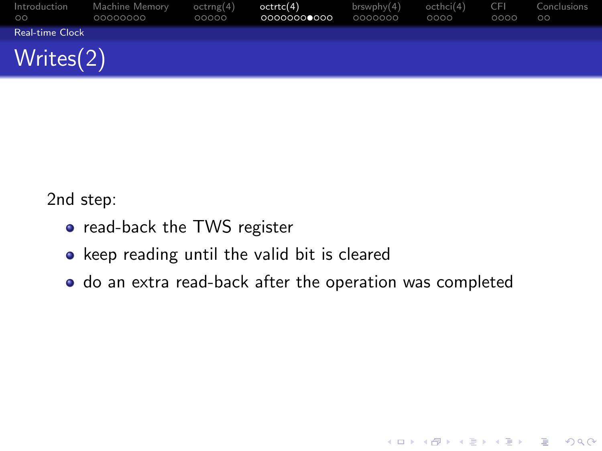| Introduction<br>$\circ$ | Machine Memory<br>00000000 | octrng(4)<br>00000 | octrtc(4)<br>00000000000 | brswphy(4)<br>0000000 | octhci(4)<br>0000 | <b>CFI</b><br>0000 | Conclusions<br>$\circ$ |
|-------------------------|----------------------------|--------------------|--------------------------|-----------------------|-------------------|--------------------|------------------------|
| Real-time Clock         |                            |                    |                          |                       |                   |                    |                        |
| Writes(2)               |                            |                    |                          |                       |                   |                    |                        |

2nd step:

- o read-back the TWS register
- keep reading until the valid bit is cleared
- <span id="page-24-0"></span>do an extra read-back after the operation was completed

K ロ ▶ K @ ▶ K 할 > K 할 > 1 할 > 1 이익어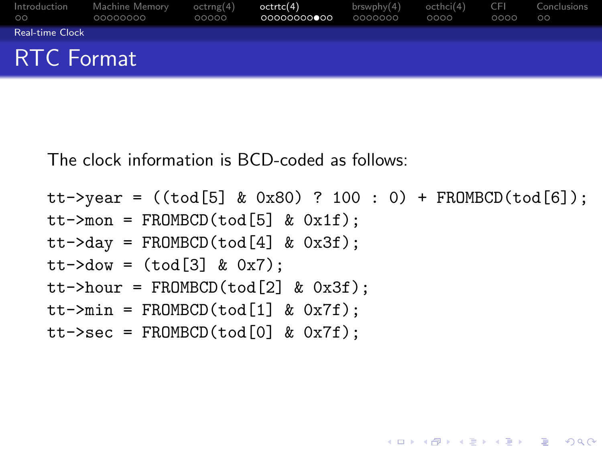| $\circ$           | Introduction Machine Memory<br>00000000 | octrng(4)<br>00000 | octrtc(4)<br>00000000000 | brswphv(4)<br>0000000 | octhci(4) CFI<br>0000 | 0000 | Conclusions<br>$\circ$ |
|-------------------|-----------------------------------------|--------------------|--------------------------|-----------------------|-----------------------|------|------------------------|
| Real-time Clock   |                                         |                    |                          |                       |                       |      |                        |
| <b>RTC Format</b> |                                         |                    |                          |                       |                       |      |                        |

The clock information is BCD-coded as follows:

```
tt->year = ((tod[5] & 0x80) ? 100 : 0) + FROMBCD(tod[6]):tt->mon = FROMBCD(tod[5] & Qx1f):
```
**KORK ERKER ADE YOUR** 

```
tt->day = FROMBCD(tod[4] & 0x3f);
```

```
tt->dow = (tod[3] & 0x7);
```

```
tt->hour = FROMBCD(tod[2] & 0x3f);
```

```
tt->min = FROMBCD(tod[1] & Ox7f);
```

```
tt->sec = FROMBCD(tod[0] & 0x7f);
```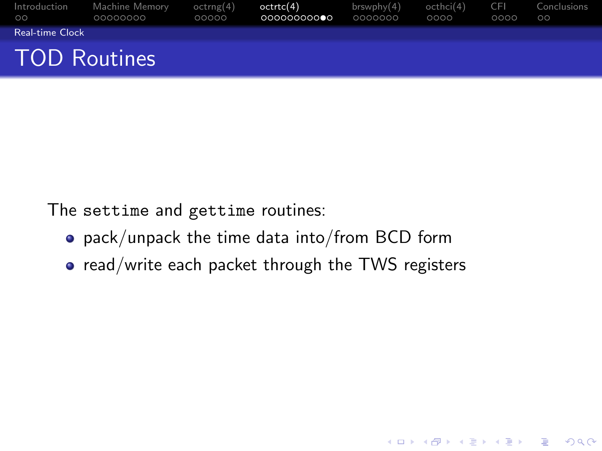| Introduction<br>$\circ$ | Machine Memory<br>00000000 | octrng(4)<br>00000 | octrtc(4)<br>00000000000 | brswphv(4)<br>0000000 | octhci(4)<br>0000 | -CEL<br>0000 | Conclusions<br>$\circ$ |
|-------------------------|----------------------------|--------------------|--------------------------|-----------------------|-------------------|--------------|------------------------|
| <b>Real-time Clock</b>  |                            |                    |                          |                       |                   |              |                        |
| <b>TOD Routines</b>     |                            |                    |                          |                       |                   |              |                        |

The settime and gettime routines:

- pack/unpack the time data into/from BCD form
- <span id="page-26-0"></span>• read/write each packet through the TWS registers

K ロ ▶ K @ ▶ K 할 > K 할 > 1 할 > 1 이익어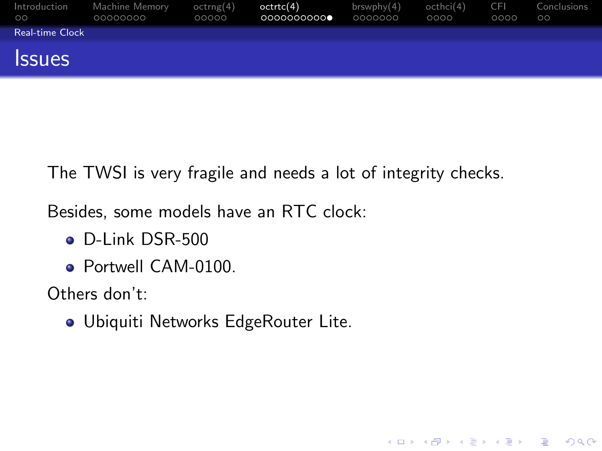| Introduction<br>$\circ$ | Machine Memory<br>00000000 | octrng(4)<br>00000 | octrtc(4)<br>00000000000 | brswphy(4)<br>0000000 | octhci(4)<br>0000 | <b>CFI</b><br>0000 | Conclusions<br>$\circ$ |
|-------------------------|----------------------------|--------------------|--------------------------|-----------------------|-------------------|--------------------|------------------------|
| Real-time Clock         |                            |                    |                          |                       |                   |                    |                        |
| <b>Issues</b>           |                            |                    |                          |                       |                   |                    |                        |

The TWSI is very fragile and needs a lot of integrity checks.

K ロ ▶ K @ ▶ K 할 ▶ K 할 ▶ 이 할 → 9 Q @

Besides, some models have an RTC clock:

- D-Link DSR-500
- **Portwell CAM-0100**

Others don't:

<span id="page-27-0"></span>Ubiquiti Networks EdgeRouter Lite.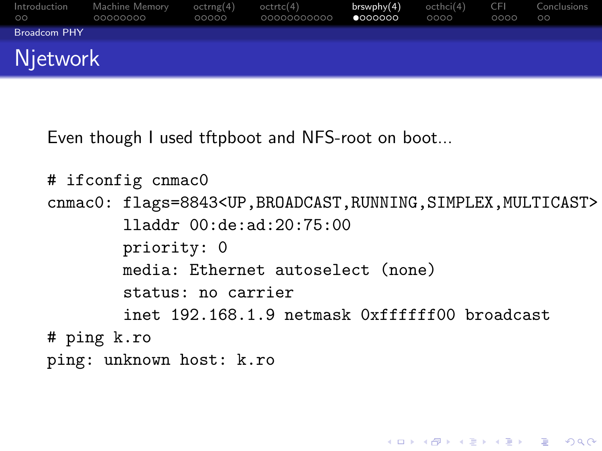| Introduction<br><b>OO</b> | Machine Memory<br>00000000 | octrng(4)<br>00000 | octrtc(4)<br>00000000000 | brswphy(4)<br>•000000 | octhci(4)<br>0000 | -CEL<br>0000 | Conclusions<br>$\circ$ |
|---------------------------|----------------------------|--------------------|--------------------------|-----------------------|-------------------|--------------|------------------------|
| <b>Broadcom PHY</b>       |                            |                    |                          |                       |                   |              |                        |
| <b>Njetwork</b>           |                            |                    |                          |                       |                   |              |                        |

Even though I used tftpboot and NFS-root on boot...

```
# ifconfig cnmac0
cnmac0: flags=8843<UP,BROADCAST,RUNNING,SIMPLEX,MULTICAST>
        lladdr 00:de:ad:20:75:00
        priority: 0
        media: Ethernet autoselect (none)
        status: no carrier
        inet 192.168.1.9 netmask 0xffffff00 broadcast
# ping k.ro
ping: unknown host: k.ro
```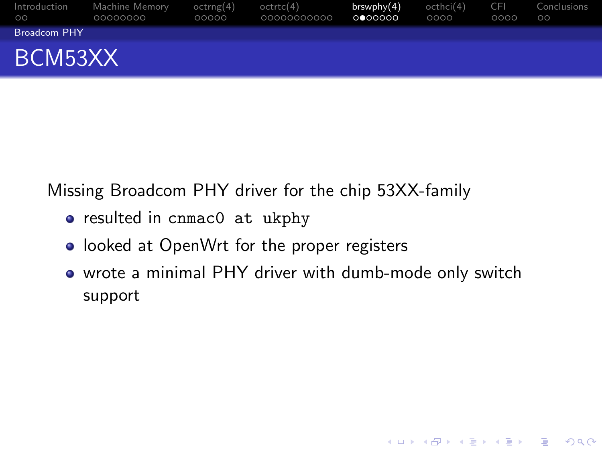| Introduction<br>ററ  | Machine Memory<br>00000000 | octrng(4)<br>00000 | octrtc(4)<br>00000000000 | $b$ rswphy $(4)$<br>0000000 | octhci(4)<br>0000 | <b>CFI</b><br>0000 | Conclusions<br>$\circ$ |
|---------------------|----------------------------|--------------------|--------------------------|-----------------------------|-------------------|--------------------|------------------------|
| <b>Broadcom PHY</b> |                            |                    |                          |                             |                   |                    |                        |
| BCM53XX             |                            |                    |                          |                             |                   |                    |                        |

Missing Broadcom PHY driver for the chip 53XX-family

- resulted in cnmac0 at ukphy
- looked at OpenWrt for the proper registers
- <span id="page-29-0"></span>• wrote a minimal PHY driver with dumb-mode only switch support

K ロ ▶ K @ ▶ K 할 ▶ K 할 ▶ 이 할 → 9 Q @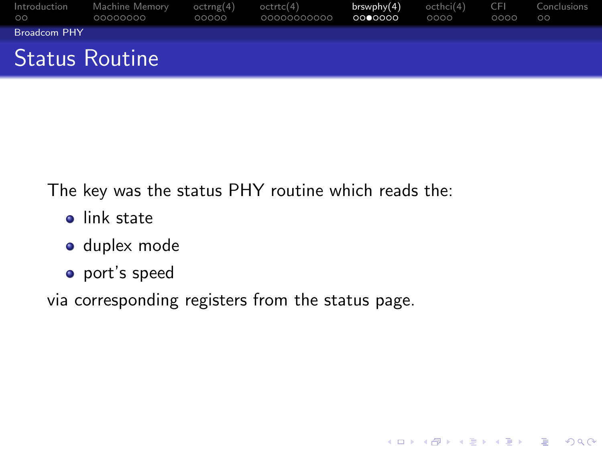| Introduction<br>$\circ$ | Machine Memorv<br>00000000 | octrng(4)<br>00000 | octrtc(4)<br>00000000000 | brswphy(4)<br>0000000 | octhci(4)<br>0000 | - CEL<br>0000 | Conclusions<br>$\circ$ |
|-------------------------|----------------------------|--------------------|--------------------------|-----------------------|-------------------|---------------|------------------------|
| <b>Broadcom PHY</b>     |                            |                    |                          |                       |                   |               |                        |
| <b>Status Routine</b>   |                            |                    |                          |                       |                   |               |                        |

K ロ ▶ K @ ▶ K 할 > K 할 > 1 할 > 1 이익어

The key was the status PHY routine which reads the:

- **o** link state
- **o** duplex mode
- port's speed

<span id="page-30-0"></span>via corresponding registers from the status page.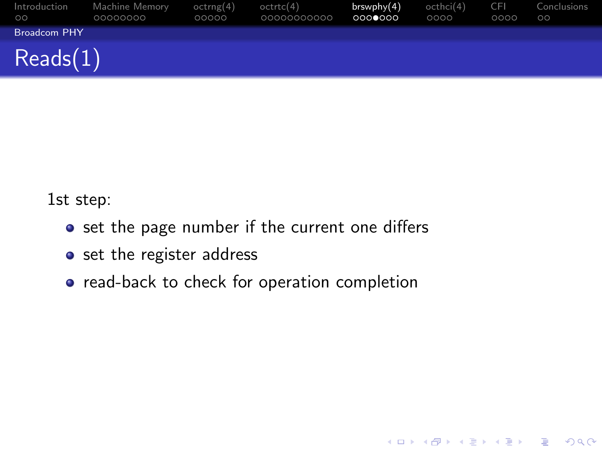| Introduction<br>$\circ$ | Machine Memory<br>00000000 | octrng(4)<br>00000 | octrtc(4)<br>00000000000 | brswph <sub>V</sub> (4)<br>0000000 | octhci(4)<br>0000 | <b>CFI</b><br>0000 | Conclusions<br>$\circ$ |
|-------------------------|----------------------------|--------------------|--------------------------|------------------------------------|-------------------|--------------------|------------------------|
| <b>Broadcom PHY</b>     |                            |                    |                          |                                    |                   |                    |                        |
| Reads(1)                |                            |                    |                          |                                    |                   |                    |                        |

K ロ ▶ K @ ▶ K 할 > K 할 > 1 할 > 1 이익어

1st step:

- set the page number if the current one differs
- set the register address
- <span id="page-31-0"></span>• read-back to check for operation completion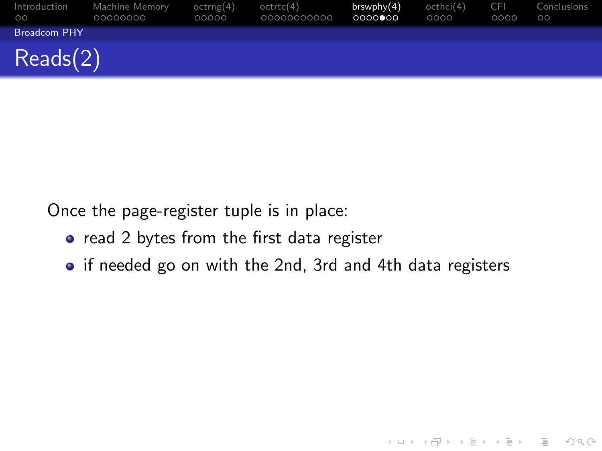| Introduction<br>$\circ$ | Machine Memory<br>00000000 | octrng(4)<br>00000 | octrtc(4)<br>00000000000 | brswphy(4)<br>0000000 | octhci(4)<br>0000 | <b>CFI</b><br>0000 | Conclusions<br>$\circ$ |
|-------------------------|----------------------------|--------------------|--------------------------|-----------------------|-------------------|--------------------|------------------------|
| <b>Broadcom PHY</b>     |                            |                    |                          |                       |                   |                    |                        |
| Recals(2)               |                            |                    |                          |                       |                   |                    |                        |

Once the page-register tuple is in place:

- read 2 bytes from the first data register
- <span id="page-32-0"></span>• if needed go on with the 2nd, 3rd and 4th data registers

K ロ ▶ K @ ▶ K 할 > K 할 > 1 할 > 1 이익어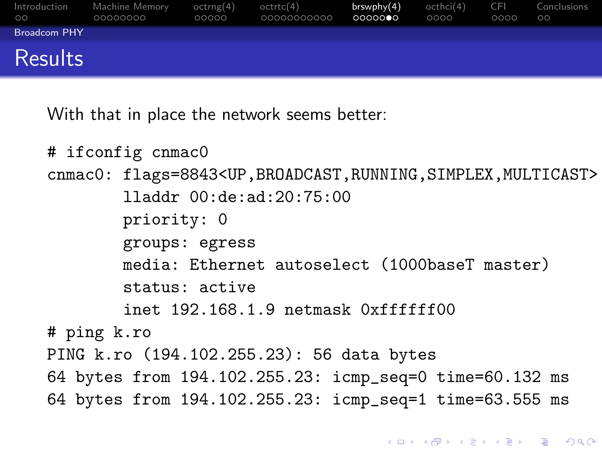| Introduction<br>$\circ$ | Machine Memory<br>00000000 | octrng(4)<br>00000 | octrtc(4)<br>00000000000 | brswphy(4)<br>0000000 | octhci(4)<br>0000 | <b>CFI</b><br>0000 | Conclusions<br>$\circ$ |
|-------------------------|----------------------------|--------------------|--------------------------|-----------------------|-------------------|--------------------|------------------------|
| <b>Broadcom PHY</b>     |                            |                    |                          |                       |                   |                    |                        |
| Results                 |                            |                    |                          |                       |                   |                    |                        |

With that in place the network seems better:

```
# ifconfig cnmac0
cnmac0: flags=8843<UP,BROADCAST,RUNNING,SIMPLEX,MULTICAST>
        lladdr 00:de:ad:20:75:00
        priority: 0
        groups: egress
        media: Ethernet autoselect (1000baseT master)
        status: active
        inet 192.168.1.9 netmask 0xffffff00
# ping k.ro
PING k.ro (194.102.255.23): 56 data bytes
64 bytes from 194.102.255.23: icmp_seq=0 time=60.132 ms
64 bytes from 194.102.255.23: icmp_seq=1 time=63.555 ms
```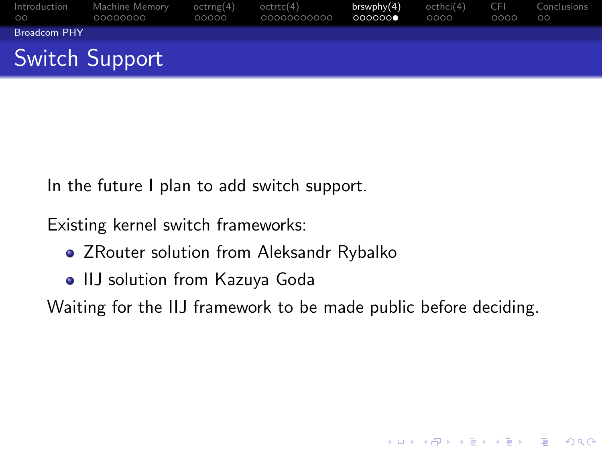| Introduction<br>$\circ$ | Machine Memory<br>00000000 | octrng(4)<br>00000 | octrtc(4)<br>00000000000 | $b$ rswph $v(4)$<br>000000 | octhci(4)<br>0000 | -CEL<br>0000 | Conclusions<br>$\circ$ |
|-------------------------|----------------------------|--------------------|--------------------------|----------------------------|-------------------|--------------|------------------------|
| <b>Broadcom PHY</b>     |                            |                    |                          |                            |                   |              |                        |
|                         | Switch Support             |                    |                          |                            |                   |              |                        |

In the future I plan to add switch support.

Existing kernel switch frameworks:

- ZRouter solution from Aleksandr Rybalko
- IIJ solution from Kazuya Goda

<span id="page-34-0"></span>Waiting for the IIJ framework to be made public before deciding.

**KORKA SERKER ORA**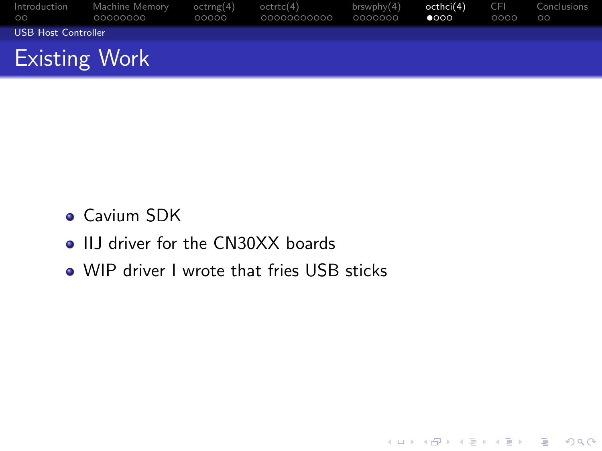| Introduction<br>$\circ$ | Machine Memory<br>00000000 | octrng(4)<br>00000 | octrtc(4)<br>00000000000 | brswphv(4)<br>0000000 | octhci(4)<br>$\bullet$ 000 | <b>CFI</b><br>0000 | Conclusions<br>$\circ$ |
|-------------------------|----------------------------|--------------------|--------------------------|-----------------------|----------------------------|--------------------|------------------------|
| USB Host Controller     |                            |                    |                          |                       |                            |                    |                        |
| <b>Existing Work</b>    |                            |                    |                          |                       |                            |                    |                        |

K ロ ▶ K @ ▶ K 할 ▶ K 할 ▶ | 할 | © 9 Q @

- **Cavium SDK**
- IIJ driver for the CN30XX boards
- <span id="page-35-0"></span>• WIP driver I wrote that fries USB sticks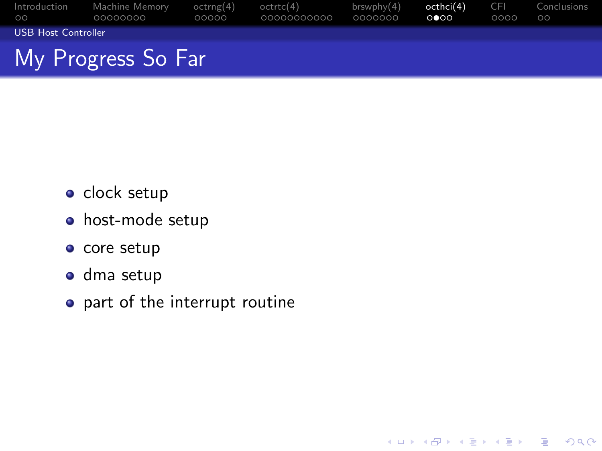| Introduction<br>$00^{\circ}$ | Machine Memory<br>00000000 | octrne(4)<br>00000 | octrtc(4)<br>00000000000 | brswphv(4)<br>0000000 | octhci(4)<br>റ∙റെ | -CEL<br>0000 | Conclusions<br>$\circ$ |  |
|------------------------------|----------------------------|--------------------|--------------------------|-----------------------|-------------------|--------------|------------------------|--|
| USB Host Controller          |                            |                    |                          |                       |                   |              |                        |  |
| My Progress So Far           |                            |                    |                          |                       |                   |              |                        |  |

K ロ ▶ K @ ▶ K 할 > K 할 > 1 할 > 1 이익어

- $\bullet$  clock setup
- host-mode setup
- $\bullet$  core setup
- dma setup
- <span id="page-36-0"></span>o part of the interrupt routine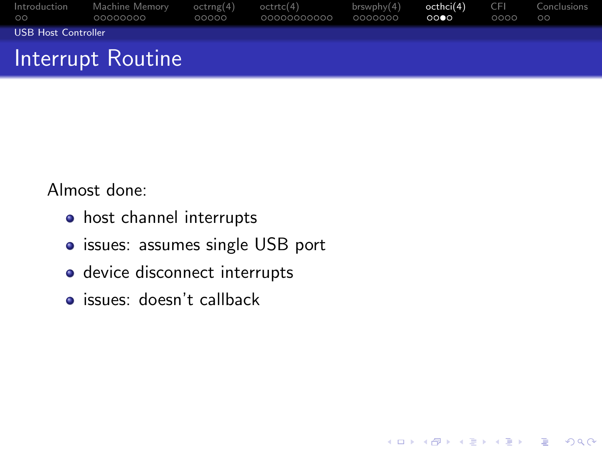| Introduction<br>$\circ$ | Machine Memory<br>00000000 | octrne(4)<br>00000 | octrtc(4)<br>00000000000 | brswphv(4)<br>0000000 | octhci(4)<br>0000 | <b>CFI</b><br>0000 | Conclusions<br>$\circ$ |
|-------------------------|----------------------------|--------------------|--------------------------|-----------------------|-------------------|--------------------|------------------------|
| USB Host Controller     |                            |                    |                          |                       |                   |                    |                        |
|                         | Interrupt Routine          |                    |                          |                       |                   |                    |                        |

K ロ ▶ K @ ▶ K 할 > K 할 > 1 할 > 1 이익어

Almost done:

- host channel interrupts
- issues: assumes single USB port
- device disconnect interrupts
- <span id="page-37-0"></span>**o** issues: doesn't callback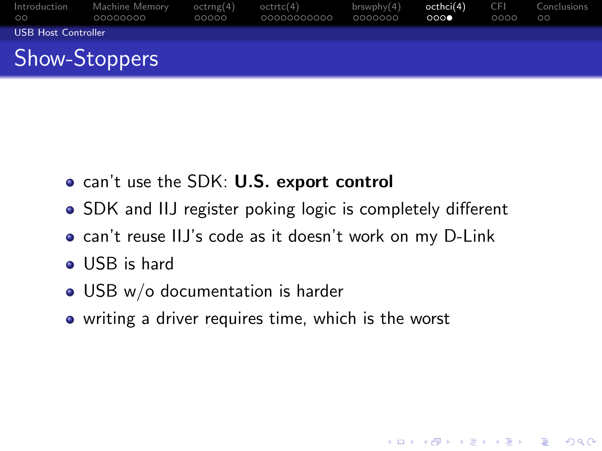| Introduction<br>$\circ$    | Machine Memory<br>00000000 | octrng(4)<br>00000 | octrtc(4)<br>00000000000 | brswphv(4)<br>0000000 | octhci(4)<br>000 | <b>CFI</b><br>0000 | Conclusions<br>$\circ$ |
|----------------------------|----------------------------|--------------------|--------------------------|-----------------------|------------------|--------------------|------------------------|
| <b>USB Host Controller</b> |                            |                    |                          |                       |                  |                    |                        |
|                            | <b>Show-Stoppers</b>       |                    |                          |                       |                  |                    |                        |

- can't use the SDK: U.S. export control
- SDK and IIJ register poking logic is completely different
- can't reuse IIJ's code as it doesn't work on my D-Link

**KORKA SERKER ORA** 

- **o** USB is hard
- USB w/o documentation is harder
- <span id="page-38-0"></span>• writing a driver requires time, which is the worst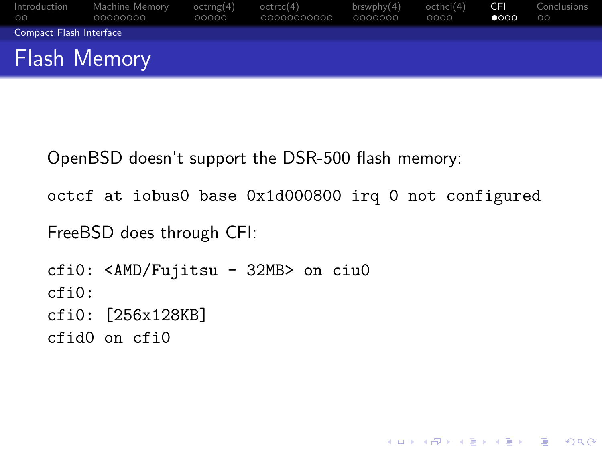| Introduction<br>$\circ$ | Machine Memory<br>00000000 | octrng(4)<br>00000 | octrtc(4)<br>00000000000 | brswphv(4)<br>0000000 | octhci(4)<br>0000 | <b>CFI</b><br>$\bullet$ 000 | Conclusions<br>$\circ$ |
|-------------------------|----------------------------|--------------------|--------------------------|-----------------------|-------------------|-----------------------------|------------------------|
| Compact Flash Interface |                            |                    |                          |                       |                   |                             |                        |
| <b>Flash Memory</b>     |                            |                    |                          |                       |                   |                             |                        |

OpenBSD doesn't support the DSR-500 flash memory:

octcf at iobus0 base 0x1d000800 irq 0 not configured

K ロ ▶ K @ ▶ K 할 > K 할 > 1 할 > 1 이익어

FreeBSD does through CFI:

<span id="page-39-0"></span>cfi0: <AMD/Fujitsu - 32MB> on ciu0 cfi0: cfi0: [256x128KB] cfid0 on cfi0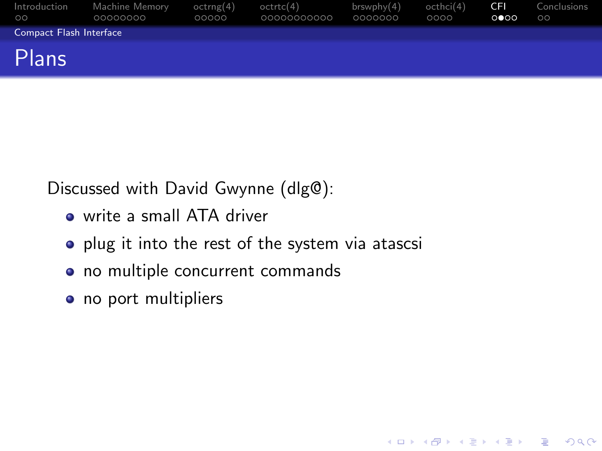| Introduction<br>$\circ$ | Machine Memory<br>00000000 | octrng(4)<br>00000 | octrtc(4)<br>00000000000 | $b$ rswphy $(4)$<br>0000000 | octhci(4)<br>0000 | -CFI<br>0 000 | Conclusions<br>$\circ$ |
|-------------------------|----------------------------|--------------------|--------------------------|-----------------------------|-------------------|---------------|------------------------|
| Compact Flash Interface |                            |                    |                          |                             |                   |               |                        |
| Plans                   |                            |                    |                          |                             |                   |               |                        |

K ロ ▶ K @ ▶ K 할 > K 할 > 1 할 > 1 이익어

Discussed with David Gwynne (dlg@):

- write a small ATA driver
- plug it into the rest of the system via atascsi
- no multiple concurrent commands
- <span id="page-40-0"></span>• no port multipliers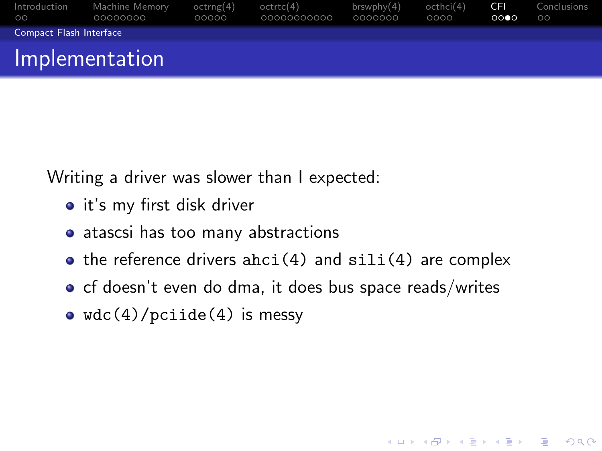| Introduction<br>$\circ$ | Machine Memory<br>00000000 | octrng(4)<br>00000 | octrtc(4)<br>00000000000 | brswphv(4)<br>0000000 | octhci(4)<br>0000 | -CHI<br>0000 | Conclusions<br>$\circ$ |
|-------------------------|----------------------------|--------------------|--------------------------|-----------------------|-------------------|--------------|------------------------|
| Compact Flash Interface |                            |                    |                          |                       |                   |              |                        |
|                         | Implementation             |                    |                          |                       |                   |              |                        |

Writing a driver was slower than I expected:

- it's my first disk driver
- atascsi has too many abstractions
- $\bullet$  the reference drivers ahci(4) and  $\text{sili}(4)$  are complex

**KORK ERKER ADE YOUR** 

- $\bullet$  cf doesn't even do dma, it does bus space reads/writes
- <span id="page-41-0"></span>•  $wdc(4)/\text{pciide}(4)$  is messy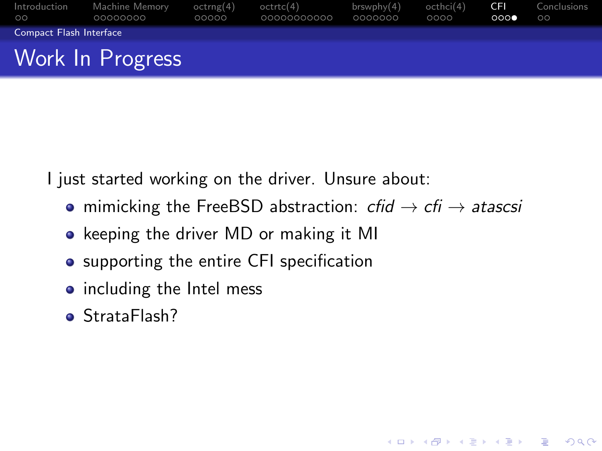| Introduction<br>$\circ$ | Machine Memory<br>00000000 | octrng(4)<br>00000 | octrtc(4)<br>00000000000 | brswphv(4)<br>0000000 | octhci(4)<br>0000 | CEL.<br>000 | Conclusions<br>$\circ$ |
|-------------------------|----------------------------|--------------------|--------------------------|-----------------------|-------------------|-------------|------------------------|
| Compact Flash Interface |                            |                    |                          |                       |                   |             |                        |
|                         | Work In Progress           |                    |                          |                       |                   |             |                        |

I just started working on the driver. Unsure about:

• mimicking the FreeBSD abstraction:  $cfid \rightarrow cfi \rightarrow atascsi$ 

**KORK ERKER ADE YOUR** 

- keeping the driver MD or making it MI
- supporting the entire CFI specification
- including the Intel mess
- <span id="page-42-0"></span>**•** StrataFlash?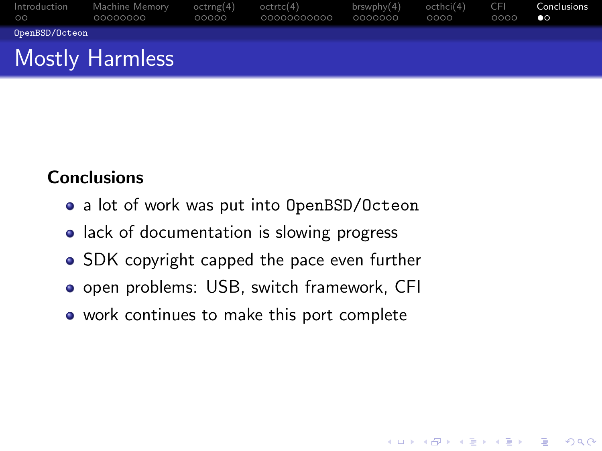| Introduction<br>$\circ$ | Machine Memory<br>00000000 | octrng(4)<br>00000 | octrtc(4)<br>00000000000 | brswphv(4)<br>0000000 | octhci(4)<br>0000 | TCH.<br>0000 | Conclusions<br>$\bullet$ |
|-------------------------|----------------------------|--------------------|--------------------------|-----------------------|-------------------|--------------|--------------------------|
| OpenBSD/Octeon          |                            |                    |                          |                       |                   |              |                          |
|                         | <b>Mostly Harmless</b>     |                    |                          |                       |                   |              |                          |

**KORK ERKER ADE YOUR** 

#### **Conclusions**

- a lot of work was put into OpenBSD/Octeon
- lack of documentation is slowing progress
- SDK copyright capped the pace even further
- **•** open problems: USB, switch framework, CFI
- <span id="page-43-0"></span>• work continues to make this port complete